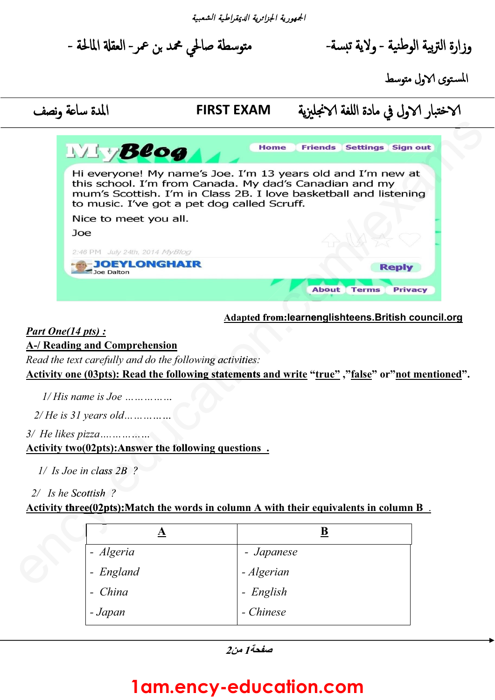الجمهورية الجزارية ا
يمقراطية الشعبية

متوسطة صالحي محمد بن عمر- العقلة المالحة -

وزارة التربية الوطنية - ولاية تبسة-

المستوى الاول متوسط

# 4خ,بار 4ول في مادة ا@لغة 4نجليزية **EXAM FIRST** المدة سا:ة ونصف 4



#### **Adapted from:learnenglishteens.British council.org**

#### *Part One(14 pts) :*

#### **A-/ Reading and Comprehension**

**Activity one (03pts): Read the following statements and write "true" ,"false" or"not mentioned".**  *wing activities:*<br> **wing statements a** 

| Joe Dalton                                                  |                                                                                              |
|-------------------------------------------------------------|----------------------------------------------------------------------------------------------|
|                                                             | <b>About</b><br>Priv<br><b>Terms</b>                                                         |
|                                                             | <b>Adapted from:learnenglishteens.British of</b>                                             |
| Part One(14 pts) :                                          |                                                                                              |
| <b>A-/ Reading and Comprehension</b>                        |                                                                                              |
| Read the text carefully and do the following activities:    |                                                                                              |
|                                                             | <u>Activity one (03pts): Read the following statements and write "true", "false" or" not</u> |
| $1/H$ is name is Joe                                        |                                                                                              |
| $2/He$ is 31 years old                                      |                                                                                              |
|                                                             |                                                                                              |
| <b>Activity two(02pts): Answer the following questions.</b> |                                                                                              |
|                                                             |                                                                                              |
| $1/$ Is Joe in class $2B$ ?                                 |                                                                                              |
| 2/ Is he Scottish?                                          |                                                                                              |
|                                                             | Activity three(02pts): Match the words in column A with their equivalents in column          |
|                                                             |                                                                                              |
| ${\bf \underline A}$                                        | $\underline{\mathbf{B}}$                                                                     |
| - Algeria                                                   | - Japanese                                                                                   |
| - England                                                   | - Algerian                                                                                   |
| China                                                       | - English                                                                                    |
| - Japan                                                     | - Chinese                                                                                    |
|                                                             |                                                                                              |

## **1am.ency-education.com**